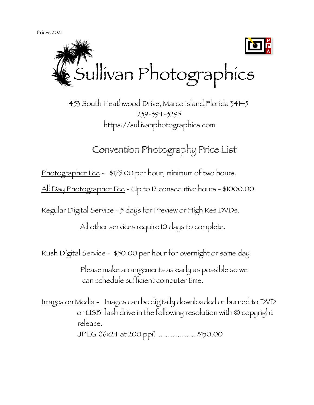Prices 2021



 453 South Heathwood Drive, Marco Island,Florida 34145 239-394-3295 https://sullivanphotographics.com

Convention Photography Price List

Photographer Fee - \$175.00 per hour, minimum of two hours.

All Day Photographer Fee - Up to 12 consecutive hours - \$1000.00

Regular Digital Service - 5 days for Preview or High Res DVDs.

All other services require 10 days to complete.

Rush Digital Service - \$50.00 per hour for overnight or same day.

 Please make arrangements as early as possible so we can schedule sufficient computer time.

 Images on Media - Images can be digitally downloaded or burned to DVD or USB flash drive in the following resolution with © copyright release. JPEG (16x24 at 200 ppi) ……….…… \$150.00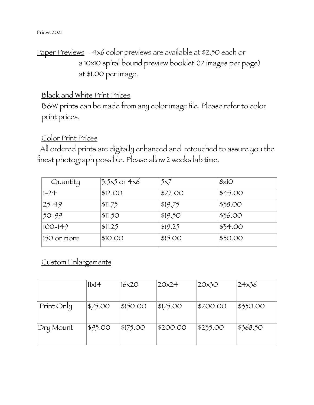#### Prices 2021

# Paper Previews – 4x6 color previews are available at \$2.50 each or a 10x10 spiral bound preview booklet (12 images per page) at \$1.00 per image.

# Black and White Print Prices

B&W prints can be made from any color image file. Please refer to color print prices.

#### Color Print Prices

 All ordered prints are digitally enhanced and retouched to assure you the finest photograph possible. Please allow 2 weeks lab time.

| Quantity    | $3.5x5$ or 4x6 | 5x7     | 8x10    |
|-------------|----------------|---------|---------|
| $1 - 24$    | \$12.00        | \$22.00 | \$45.00 |
| $25 - 49$   | \$11.75        | \$19.75 | \$38.00 |
| $50 - 99$   | \$11.50        | \$19.50 | \$36.00 |
| $100 - 149$ | \$11.25        | \$19.25 | \$34.00 |
| 150 or more | \$10.00        | \$15.00 | \$30.00 |

# Custom Enlargements

|            | $11\times14$ | $16\times20$ | 20x24    | 20x30    | 24x36    |
|------------|--------------|--------------|----------|----------|----------|
| Print Only | \$75.00      | \$150.00     | \$175.00 | \$200.00 | \$330.00 |
| Dry Mount  | \$95.00      | \$175.00     | \$200.00 | \$235.00 | \$368.50 |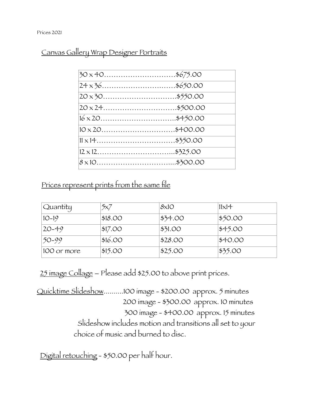Canvas Gallery Wrap Designer Portraits

| $30 \times 40$ \$675.00 |  |
|-------------------------|--|
| $24 \times 36$ \$650.00 |  |
| $20 \times 30$ \$550.00 |  |
| $20 \times 24$ \$500.00 |  |
| $16 \times 20$ \$450.00 |  |
| $10 \times 20$ \$400.00 |  |
|                         |  |
|                         |  |
|                         |  |
|                         |  |

Prices represent prints from the same file

| Quantity    | 5x7     | 8x10    | $11\times14$ |
|-------------|---------|---------|--------------|
| $10-19$     | \$18.00 | \$34.00 | \$50.00      |
| $20 - 49$   | \$17.00 | \$31.00 | \$45.00      |
| $50 - 99$   | \$16.00 | \$28.00 | \$40.00      |
| 100 or more | \$15.00 | \$25.00 | \$35.00      |

25 image Collage – Please add \$25.00 to above print prices.

Quicktime Slideshow..........100 image - \$200.00 approx. 5 minutes 200 image - \$300.00 approx. 10 minutes 300 image - \$400.00 approx. 15 minutes Slideshow includes motion and transitions all set to your choice of music and burned to disc.

Digital retouching - \$50.00 per half hour.